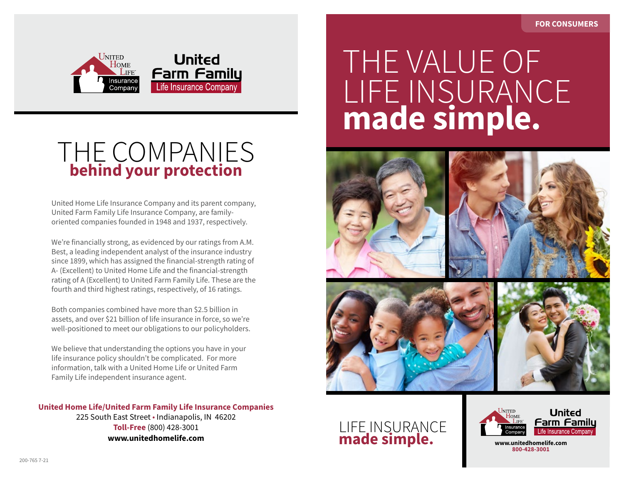

## THE COMPANIES **behind your protection**

United Home Life Insurance Company and its parent company, United Farm Family Life Insurance Company, are familyoriented companies founded in 1948 and 1937, respectively.

We're financially strong, as evidenced by our ratings from A.M. Best, a leading independent analyst of the insurance industry since 1899, which has assigned the financial-strength rating of A- (Excellent) to United Home Life and the financial-strength rating of A (Excellent) to United Farm Family Life. These are the fourth and third highest ratings, respectively, of 16 ratings.

Both companies combined have more than \$2.5 billion in assets, and over \$21 billion of life insurance in force, so we're well-positioned to meet our obligations to our policyholders.

We believe that understanding the options you have in your life insurance policy shouldn't be complicated. For more information, talk with a United Home Life or United Farm Family Life independent insurance agent.

**United Home Life/United Farm Family Life Insurance Companies** 225 South East Street • Indianapolis, IN 46202 **Toll-Free** (800) 428-3001 **www.unitedhomelife.com**

## *Life Insurance Policy Options Made Simple* THE VALUE OF LIFE INSURANCE **made simple.**









## LIFE INSURANCE **made simple.**



**www.unitedhomelife.com 800-428-3001**